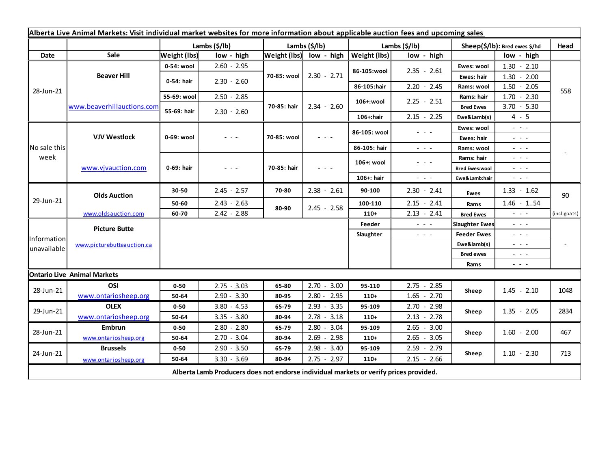| Alberta Live Animal Markets: Visit individual market websites for more information about applicable auction fees and upcoming sales |                                           |                     |               |               |                         |               |                                                                                                                                                                                                                                                                                                                                                                                                                                                |                               |                                                                                                                                                                                                                                                                                                                                                                                                                                                |              |
|-------------------------------------------------------------------------------------------------------------------------------------|-------------------------------------------|---------------------|---------------|---------------|-------------------------|---------------|------------------------------------------------------------------------------------------------------------------------------------------------------------------------------------------------------------------------------------------------------------------------------------------------------------------------------------------------------------------------------------------------------------------------------------------------|-------------------------------|------------------------------------------------------------------------------------------------------------------------------------------------------------------------------------------------------------------------------------------------------------------------------------------------------------------------------------------------------------------------------------------------------------------------------------------------|--------------|
|                                                                                                                                     |                                           |                     | Lambs (\$/lb) | Lambs (\$/lb) |                         | Lambs (\$/lb) |                                                                                                                                                                                                                                                                                                                                                                                                                                                | Sheep(\$/lb): Bred ewes \$/hd |                                                                                                                                                                                                                                                                                                                                                                                                                                                | Head         |
| Date                                                                                                                                | Sale                                      | <b>Weight (lbs)</b> | low - high    |               | Weight (lbs) low - high | Weight (lbs)  | low - high                                                                                                                                                                                                                                                                                                                                                                                                                                     |                               | low - high                                                                                                                                                                                                                                                                                                                                                                                                                                     |              |
| 28-Jun-21                                                                                                                           | <b>Beaver Hill</b>                        | 0-54: wool          | $2.60 - 2.95$ | 70-85: wool   | $2.30 - 2.71$           | 86-105:wool   | $2.35 - 2.61$                                                                                                                                                                                                                                                                                                                                                                                                                                  | Ewes: wool                    | $1.30 - 2.10$                                                                                                                                                                                                                                                                                                                                                                                                                                  |              |
|                                                                                                                                     |                                           | 0-54: hair          | $2.30 - 2.60$ |               |                         |               |                                                                                                                                                                                                                                                                                                                                                                                                                                                | <b>Ewes: hair</b>             | $1.30 - 2.00$                                                                                                                                                                                                                                                                                                                                                                                                                                  |              |
|                                                                                                                                     |                                           |                     |               |               |                         | 86-105:hair   | $2.20 - 2.45$                                                                                                                                                                                                                                                                                                                                                                                                                                  | Rams: wool                    | $1.50 - 2.05$                                                                                                                                                                                                                                                                                                                                                                                                                                  | 558          |
|                                                                                                                                     | www.beaverhillauctions.com                | 55-69: wool         | $2.50 - 2.85$ | 70-85: hair   | $2.34 - 2.60$           | 106+:wool     | $2.25 - 2.51$                                                                                                                                                                                                                                                                                                                                                                                                                                  | Rams: hair                    | $1.70 - 2.30$                                                                                                                                                                                                                                                                                                                                                                                                                                  |              |
|                                                                                                                                     |                                           | 55-69: hair         | $2.30 - 2.60$ |               |                         |               |                                                                                                                                                                                                                                                                                                                                                                                                                                                | <b>Bred Ewes</b>              | $3.70 - 5.30$                                                                                                                                                                                                                                                                                                                                                                                                                                  |              |
|                                                                                                                                     |                                           |                     |               |               |                         | 106+:hair     | $2.15 - 2.25$                                                                                                                                                                                                                                                                                                                                                                                                                                  | Ewe&Lamb(s)                   | $4 - 5$                                                                                                                                                                                                                                                                                                                                                                                                                                        |              |
| No sale this<br>week                                                                                                                | <b>VJV Westlock</b><br>www.vjvauction.com | 0-69: wool          | - - -         | 70-85: wool   | $  -$                   | 86-105: wool  | - - -                                                                                                                                                                                                                                                                                                                                                                                                                                          | Ewes: wool                    | $\omega_{\rm{c}}$ , $\omega_{\rm{c}}$                                                                                                                                                                                                                                                                                                                                                                                                          |              |
|                                                                                                                                     |                                           |                     |               |               |                         |               |                                                                                                                                                                                                                                                                                                                                                                                                                                                | Ewes: hair                    | $\frac{1}{2} \left( \frac{1}{2} \right) = \frac{1}{2} \left( \frac{1}{2} \right)$                                                                                                                                                                                                                                                                                                                                                              |              |
|                                                                                                                                     |                                           |                     |               |               |                         | 86-105: hair  | $\frac{1}{2} \left( \frac{1}{2} \right) \left( \frac{1}{2} \right) \left( \frac{1}{2} \right) \left( \frac{1}{2} \right)$                                                                                                                                                                                                                                                                                                                      | Rams: wool                    | $\frac{1}{2} \left( \frac{1}{2} \right) + \frac{1}{2} \left( \frac{1}{2} \right) + \frac{1}{2} \left( \frac{1}{2} \right) + \frac{1}{2} \left( \frac{1}{2} \right) + \frac{1}{2} \left( \frac{1}{2} \right) + \frac{1}{2} \left( \frac{1}{2} \right) + \frac{1}{2} \left( \frac{1}{2} \right) + \frac{1}{2} \left( \frac{1}{2} \right) + \frac{1}{2} \left( \frac{1}{2} \right) + \frac{1}{2} \left( \frac{1}{2} \right) + \frac{1}{2} \left($ |              |
|                                                                                                                                     |                                           | 0-69: hair          | $  -$         | 70-85: hair   | - - -                   | 106+: wool    | $\frac{1}{2} \left( \frac{1}{2} \right) + \frac{1}{2} \left( \frac{1}{2} \right) + \frac{1}{2} \left( \frac{1}{2} \right) + \frac{1}{2} \left( \frac{1}{2} \right) + \frac{1}{2} \left( \frac{1}{2} \right) + \frac{1}{2} \left( \frac{1}{2} \right) + \frac{1}{2} \left( \frac{1}{2} \right) + \frac{1}{2} \left( \frac{1}{2} \right) + \frac{1}{2} \left( \frac{1}{2} \right) + \frac{1}{2} \left( \frac{1}{2} \right) + \frac{1}{2} \left($ | Rams: hair                    | $\frac{1}{2} \left( \frac{1}{2} \right) \frac{1}{2} \left( \frac{1}{2} \right) \frac{1}{2} \left( \frac{1}{2} \right)$                                                                                                                                                                                                                                                                                                                         |              |
|                                                                                                                                     |                                           |                     |               |               |                         |               |                                                                                                                                                                                                                                                                                                                                                                                                                                                | <b>Bred Ewes:wool</b>         | $\frac{1}{2} \left( \frac{1}{2} \right) \left( \frac{1}{2} \right) \left( \frac{1}{2} \right) \left( \frac{1}{2} \right)$                                                                                                                                                                                                                                                                                                                      |              |
| 29-Jun-21                                                                                                                           |                                           |                     |               |               |                         | 106+: hair    | $\frac{1}{2} \left( \frac{1}{2} \right) \left( \frac{1}{2} \right) \left( \frac{1}{2} \right) \left( \frac{1}{2} \right)$                                                                                                                                                                                                                                                                                                                      | Ewe&Lamb:hair                 | $\frac{1}{2} \left( \frac{1}{2} \right) \frac{1}{2} \left( \frac{1}{2} \right) \frac{1}{2} \left( \frac{1}{2} \right)$                                                                                                                                                                                                                                                                                                                         |              |
|                                                                                                                                     | <b>Olds Auction</b>                       | 30-50               | $2.45 - 2.57$ | 70-80         | $2.38 - 2.61$           | 90-100        | $2.30 - 2.41$                                                                                                                                                                                                                                                                                                                                                                                                                                  | <b>Ewes</b>                   | $1.33 - 1.62$                                                                                                                                                                                                                                                                                                                                                                                                                                  | 90           |
|                                                                                                                                     |                                           | 50-60               | $2.43 - 2.63$ | 80-90         | $2.45 - 2.58$           | 100-110       | $2.15 - 2.41$                                                                                                                                                                                                                                                                                                                                                                                                                                  | Rams                          | $1.46 - 1.54$                                                                                                                                                                                                                                                                                                                                                                                                                                  |              |
|                                                                                                                                     | www.oldsauction.com                       | 60-70               | $2.42 - 2.88$ |               |                         | $110+$        | $2.13 - 2.41$                                                                                                                                                                                                                                                                                                                                                                                                                                  | <b>Bred Ewes</b>              | $  -$                                                                                                                                                                                                                                                                                                                                                                                                                                          | (incl.goats) |
| Information<br>unavailable                                                                                                          | <b>Picture Butte</b>                      |                     |               |               |                         | Feeder        | - - -                                                                                                                                                                                                                                                                                                                                                                                                                                          | <b>Slaughter Ewes</b>         | - - -                                                                                                                                                                                                                                                                                                                                                                                                                                          |              |
|                                                                                                                                     | www.picturebutteauction.ca                |                     |               |               |                         | Slaughter     | $\frac{1}{2} \left( \frac{1}{2} \right) \left( \frac{1}{2} \right) \left( \frac{1}{2} \right)$                                                                                                                                                                                                                                                                                                                                                 | <b>Feeder Ewes</b>            | $  -$                                                                                                                                                                                                                                                                                                                                                                                                                                          |              |
|                                                                                                                                     |                                           |                     |               |               |                         |               |                                                                                                                                                                                                                                                                                                                                                                                                                                                | Ewe&lamb(s)                   | $  -$                                                                                                                                                                                                                                                                                                                                                                                                                                          |              |
|                                                                                                                                     |                                           |                     |               |               |                         |               |                                                                                                                                                                                                                                                                                                                                                                                                                                                | <b>Bred ewes</b>              | $\frac{1}{2} \left( \frac{1}{2} \right) \frac{1}{2} \left( \frac{1}{2} \right) \frac{1}{2} \left( \frac{1}{2} \right)$                                                                                                                                                                                                                                                                                                                         |              |
|                                                                                                                                     |                                           |                     |               |               |                         |               |                                                                                                                                                                                                                                                                                                                                                                                                                                                | Rams                          | $\frac{1}{2} \left( \begin{array}{ccc} 1 & 0 & 0 \\ 0 & 0 & 0 \\ 0 & 0 & 0 \end{array} \right) = \frac{1}{2} \left( \begin{array}{ccc} 1 & 0 & 0 \\ 0 & 0 & 0 \\ 0 & 0 & 0 \\ 0 & 0 & 0 \end{array} \right)$                                                                                                                                                                                                                                   |              |
|                                                                                                                                     | <b>Ontario Live Animal Markets</b>        |                     |               |               |                         |               |                                                                                                                                                                                                                                                                                                                                                                                                                                                |                               |                                                                                                                                                                                                                                                                                                                                                                                                                                                |              |
| 28-Jun-21                                                                                                                           | OSI                                       | $0 - 50$            | $2.75 - 3.03$ | 65-80         | $2.70 - 3.00$           | 95-110        | $2.75 - 2.85$                                                                                                                                                                                                                                                                                                                                                                                                                                  | Sheep                         | $1.45 - 2.10$                                                                                                                                                                                                                                                                                                                                                                                                                                  | 1048         |
| 29-Jun-21                                                                                                                           | www.ontariosheep.org                      | 50-64               | $2.90 - 3.30$ | 80-95         | $2.80 - 2.95$           | $110+$        | $1.65 - 2.70$                                                                                                                                                                                                                                                                                                                                                                                                                                  |                               |                                                                                                                                                                                                                                                                                                                                                                                                                                                |              |
|                                                                                                                                     | <b>OLEX</b>                               | $0 - 50$            | $3.80 - 4.53$ | 65-79         | $2.93 - 3.35$           | 95-109        | $2.70 - 2.98$                                                                                                                                                                                                                                                                                                                                                                                                                                  | Sheep                         | $1.35 - 2.05$                                                                                                                                                                                                                                                                                                                                                                                                                                  | 2834         |
|                                                                                                                                     | www.ontariosheep.org                      | 50-64               | $3.35 - 3.80$ | 80-94         | $2.78 - 3.18$           | $110+$        | $2.13 - 2.78$                                                                                                                                                                                                                                                                                                                                                                                                                                  |                               |                                                                                                                                                                                                                                                                                                                                                                                                                                                |              |
| 28-Jun-21<br>24-Jun-21                                                                                                              | Embrun                                    | $0 - 50$            | $2.80 - 2.80$ | 65-79         | $2.80 - 3.04$           | 95-109        | $2.65 - 3.00$                                                                                                                                                                                                                                                                                                                                                                                                                                  | Sheep                         | $1.60 - 2.00$                                                                                                                                                                                                                                                                                                                                                                                                                                  | 467          |
|                                                                                                                                     | www.ontariosheep.org                      | 50-64               | $2.70 - 3.04$ | 80-94         | $2.69 - 2.98$           | $110+$        | $2.65 - 3.05$                                                                                                                                                                                                                                                                                                                                                                                                                                  |                               |                                                                                                                                                                                                                                                                                                                                                                                                                                                |              |
|                                                                                                                                     | <b>Brussels</b>                           | $0 - 50$            | $2.90 - 3.50$ | 65-79         | $2.98 - 3.40$           | 95-109        | $2.59 - 2.79$                                                                                                                                                                                                                                                                                                                                                                                                                                  | Sheep                         | $1.10 - 2.30$                                                                                                                                                                                                                                                                                                                                                                                                                                  | 713          |
|                                                                                                                                     | www.ontariosheep.org                      | 50-64               | $3.30 - 3.69$ | 80-94         | $2.75 - 2.97$           | $110+$        | $2.15 - 2.66$                                                                                                                                                                                                                                                                                                                                                                                                                                  |                               |                                                                                                                                                                                                                                                                                                                                                                                                                                                |              |
| Alberta Lamb Producers does not endorse individual markets or verify prices provided.                                               |                                           |                     |               |               |                         |               |                                                                                                                                                                                                                                                                                                                                                                                                                                                |                               |                                                                                                                                                                                                                                                                                                                                                                                                                                                |              |